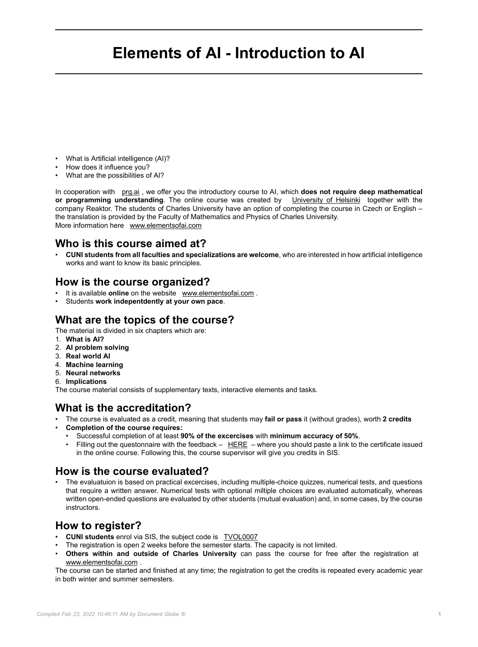# **Elements of AI - Introduction to AI**

- What is Artificial intelligence (AI)?
- How does it influence you?
- What are the possibilities of AI?

In cooperation with [prg.ai](http://prg.ai) , we offer you the introductory course to AI, which **does not require deep mathematical or programming understanding**. The online course was created by [University of Helsinki](https://www.helsinki.fi/en) together with the company Reaktor. The students of Charles University have an option of completing the course in Czech or English – the translation is provided by the Faculty of Mathematics and Physics of Charles University. More information here [www.elementsofai.com](https://www.elementsofai.com/)

#### **Who is this course aimed at?**

• **CUNI students from all faculties and specializations are welcome**, who are interested in how artificial intelligence works and want to know its basic principles.

#### **How is the course organized?**

- It is available **online** on the website [www.elementsofai.com](https://www.elementsofai.com) .
- Students **work indepentdently at your own pace**.

#### **What are the topics of the course?**

The material is divided in six chapters which are:

- 1. **What is AI?**
- 2. **AI problem solving**
- 3. **Real world AI**
- 4. **Machine learning**
- 5. **Neural networks**
- 6. **Implications**

The course material consists of supplementary texts, interactive elements and tasks.

# **What is the accreditation?**

- The course is evaluated as a credit, meaning that students may **fail or pass** it (without grades), worth **2 credits**
- **Completion of the course requires:**
	- Successful completion of at least **90% of the excercises** with **minimum accuracy of 50%**.
	- Filling out the questonnaire with the feedback  $-$  [HERE](https://forms.office.com/r/9qQ8LhfRF6)  $-$  where you should paste a link to the certificate issued in the online course. Following this, the course supervisor will give you credits in SIS.

#### **How is the course evaluated?**

• The evaluatuion is based on practical excercises, including multiple-choice quizzes, numerical tests, and questions that require a written answer. Numerical tests with optional miltiple choices are evaluated automatically, whereas written open-ended questions are evaluated by other students (mutual evaluation) and, in some cases, by the course instructors.

# **How to register?**

- **CUNI students** enrol via SIS, the subject code is [TVOL0007](https://is.cuni.cz/studium/predmety/index.php?do=predmet&amp;kod=TVOL0007)
- The registration is open 2 weeks before the semester starts. The capacity is not limited.
- **Others within and outside of Charles University** can pass the course for free after the registration at [www.elementsofai.com](http://www.elementsofai.com) .

The course can be started and finished at any time; the registration to get the credits is repeated every academic year in both winter and summer semesters.